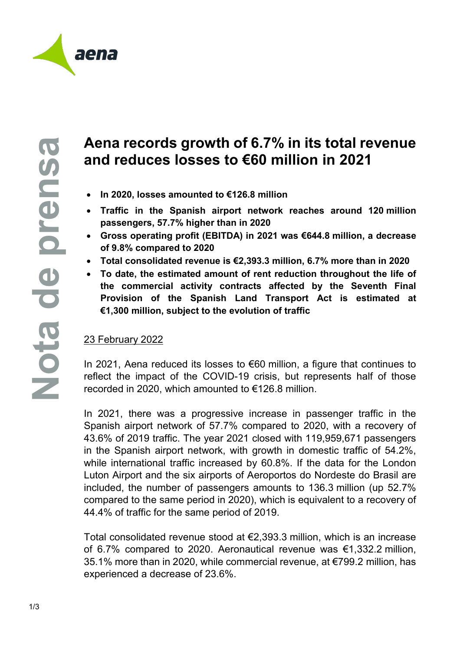

## **Aena records growth of 6.7% in its total revenue and reduces losses to €60 million in 2021**

- **In 2020, losses amounted to €126.8 million**
- **Traffic in the Spanish airport network reaches around 120 million passengers, 57.7% higher than in 2020**
- **Gross operating profit (EBITDA) in 2021 was €644.8 million, a decrease of 9.8% compared to 2020**
- **Total consolidated revenue is €2,393.3 million, 6.7% more than in 2020**
- **To date, the estimated amount of rent reduction throughout the life of the commercial activity contracts affected by the Seventh Final Provision of the Spanish Land Transport Act is estimated at €1,300 million, subject to the evolution of traffic**

## 23 February 2022

In 2021, Aena reduced its losses to €60 million, a figure that continues to reflect the impact of the COVID-19 crisis, but represents half of those recorded in 2020, which amounted to €126.8 million.

In 2021, there was a progressive increase in passenger traffic in the Spanish airport network of 57.7% compared to 2020, with a recovery of 43.6% of 2019 traffic. The year 2021 closed with 119,959,671 passengers in the Spanish airport network, with growth in domestic traffic of 54.2%, while international traffic increased by 60.8%. If the data for the London Luton Airport and the six airports of Aeroportos do Nordeste do Brasil are included, the number of passengers amounts to 136.3 million (up 52.7% compared to the same period in 2020), which is equivalent to a recovery of 44.4% of traffic for the same period of 2019.

Total consolidated revenue stood at €2,393.3 million, which is an increase of 6.7% compared to 2020. Aeronautical revenue was €1,332.2 million, 35.1% more than in 2020, while commercial revenue, at €799.2 million, has experienced a decrease of 23.6%.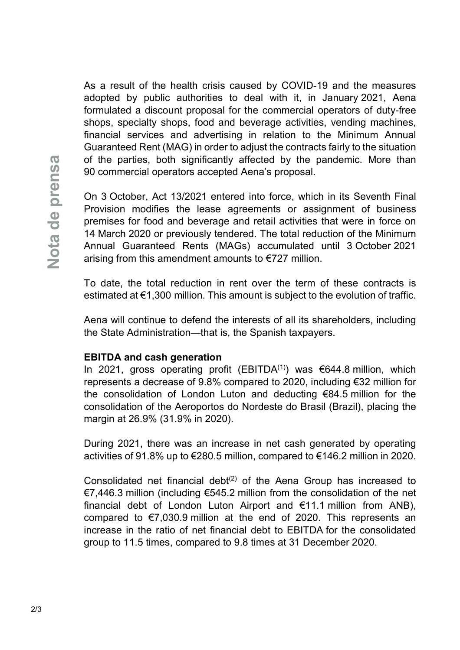As a result of the health crisis caused by COVID-19 and the measures adopted by public authorities to deal with it, in January 2021, Aena formulated a discount proposal for the commercial operators of duty-free shops, specialty shops, food and beverage activities, vending machines, financial services and advertising in relation to the Minimum Annual Guaranteed Rent (MAG) in order to adjust the contracts fairly to the situation of the parties, both significantly affected by the pandemic. More than 90 commercial operators accepted Aena's proposal.

On 3 October, Act 13/2021 entered into force, which in its Seventh Final Provision modifies the lease agreements or assignment of business premises for food and beverage and retail activities that were in force on 14 March 2020 or previously tendered. The total reduction of the Minimum Annual Guaranteed Rents (MAGs) accumulated until 3 October 2021 arising from this amendment amounts to €727 million.

To date, the total reduction in rent over the term of these contracts is estimated at €1,300 million. This amount is subject to the evolution of traffic.

Aena will continue to defend the interests of all its shareholders, including the State Administration—that is, the Spanish taxpayers.

## **EBITDA and cash generation**

In 2021, gross operating profit (EBITDA<sup>(1)</sup>) was €644.8 million, which represents a decrease of 9.8% compared to 2020, including €32 million for the consolidation of London Luton and deducting €84.5 million for the consolidation of the Aeroportos do Nordeste do Brasil (Brazil), placing the margin at 26.9% (31.9% in 2020).

During 2021, there was an increase in net cash generated by operating activities of 91.8% up to €280.5 million, compared to €146.2 million in 2020.

Consolidated net financial debt<sup> $(2)$ </sup> of the Aena Group has increased to €7,446.3 million (including €545.2 million from the consolidation of the net financial debt of London Luton Airport and €11.1 million from ANB), compared to €7,030.9 million at the end of 2020. This represents an increase in the ratio of net financial debt to EBITDA for the consolidated group to 11.5 times, compared to 9.8 times at 31 December 2020.